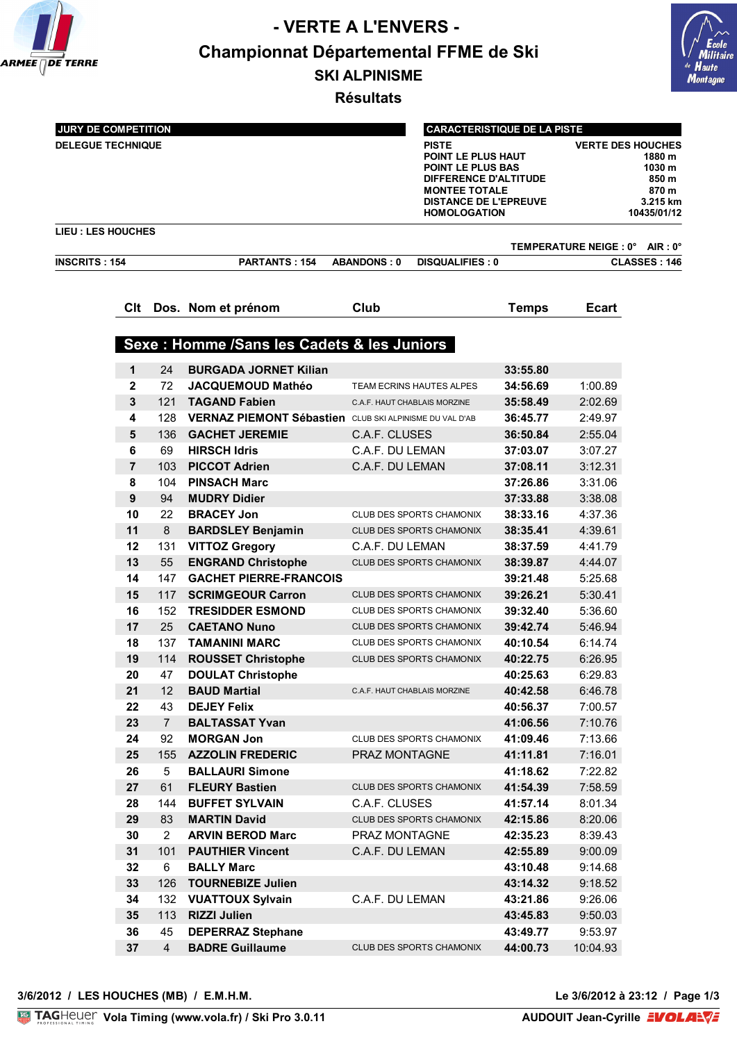

## **- VERTE A L'ENVERS - Championnat Départemental FFME de Ski SKI ALPINISME**



**Résultats**

L,

| <b>JURY DE COMPETITION</b><br><b>DELEGUE TECHNIQUE</b>      |                |                |                                                         |                              | <b>CARACTERISTIQUE DE LA PISTE</b><br><b>PISTE</b><br>POINT LE PLUS HAUT<br><b>POINT LE PLUS BAS</b><br>DIFFERENCE D'ALTITUDE<br><b>MONTEE TOTALE</b><br><b>DISTANCE DE L'EPREUVE</b><br><b>HOMOLOGATION</b> |              | <b>VERTE DES HOUCHES</b><br>1880 m<br>1030 m<br>850 m<br>870 m<br>3.215 km<br>10435/01/12 |              |  |  |
|-------------------------------------------------------------|----------------|----------------|---------------------------------------------------------|------------------------------|--------------------------------------------------------------------------------------------------------------------------------------------------------------------------------------------------------------|--------------|-------------------------------------------------------------------------------------------|--------------|--|--|
| <b>LIEU: LES HOUCHES</b><br>TEMPERATURE NEIGE : 0° AIR : 0° |                |                |                                                         |                              |                                                                                                                                                                                                              |              |                                                                                           |              |  |  |
| <b>INSCRITS: 154</b>                                        |                |                | <b>PARTANTS: 154</b>                                    | <b>ABANDONS: 0</b>           | <b>DISQUALIFIES: 0</b>                                                                                                                                                                                       |              |                                                                                           | CLASSES: 146 |  |  |
|                                                             | Clt            |                | Dos. Nom et prénom                                      | Club                         |                                                                                                                                                                                                              | <b>Temps</b> | <b>Ecart</b>                                                                              |              |  |  |
|                                                             |                |                |                                                         |                              |                                                                                                                                                                                                              |              |                                                                                           |              |  |  |
|                                                             |                |                | Sexe : Homme /Sans les Cadets & les Juniors             |                              |                                                                                                                                                                                                              |              |                                                                                           |              |  |  |
|                                                             | $\mathbf{1}$   | 24             | <b>BURGADA JORNET Kilian</b>                            |                              |                                                                                                                                                                                                              | 33:55.80     |                                                                                           |              |  |  |
|                                                             | 2              | 72             | <b>JACQUEMOUD Mathéo</b>                                |                              | TEAM ECRINS HAUTES ALPES                                                                                                                                                                                     | 34:56.69     | 1:00.89                                                                                   |              |  |  |
|                                                             | 3              | 121            | <b>TAGAND Fabien</b>                                    | C.A.F. HAUT CHABLAIS MORZINE |                                                                                                                                                                                                              | 35:58.49     | 2:02.69                                                                                   |              |  |  |
|                                                             | 4              | 128            | VERNAZ PIEMONT Sébastien CLUB SKI ALPINISME DU VAL D'AB |                              |                                                                                                                                                                                                              | 36:45.77     | 2:49.97                                                                                   |              |  |  |
|                                                             | 5              | 136            | <b>GACHET JEREMIE</b>                                   | C.A.F. CLUSES                |                                                                                                                                                                                                              | 36:50.84     | 2:55.04                                                                                   |              |  |  |
|                                                             | 6              | 69             | <b>HIRSCH Idris</b>                                     | C.A.F. DU LEMAN              |                                                                                                                                                                                                              | 37:03.07     | 3:07.27                                                                                   |              |  |  |
|                                                             | $\overline{7}$ | 103            | <b>PICCOT Adrien</b>                                    | C.A.F. DU LEMAN              |                                                                                                                                                                                                              | 37:08.11     | 3:12.31                                                                                   |              |  |  |
|                                                             | 8              | 104            | <b>PINSACH Marc</b>                                     |                              |                                                                                                                                                                                                              | 37:26.86     | 3:31.06                                                                                   |              |  |  |
|                                                             | 9              | 94             | <b>MUDRY Didier</b>                                     |                              |                                                                                                                                                                                                              | 37:33.88     | 3:38.08                                                                                   |              |  |  |
|                                                             | 10             | 22             | <b>BRACEY Jon</b>                                       |                              | CLUB DES SPORTS CHAMONIX                                                                                                                                                                                     | 38:33.16     | 4:37.36                                                                                   |              |  |  |
|                                                             | 11             | $\bf 8$        | <b>BARDSLEY Benjamin</b>                                |                              | CLUB DES SPORTS CHAMONIX                                                                                                                                                                                     | 38:35.41     | 4:39.61                                                                                   |              |  |  |
|                                                             | 12             | 131            | <b>VITTOZ Gregory</b>                                   | C.A.F. DU LEMAN              |                                                                                                                                                                                                              | 38:37.59     | 4:41.79                                                                                   |              |  |  |
|                                                             | 13             | 55             | <b>ENGRAND Christophe</b>                               |                              | <b>CLUB DES SPORTS CHAMONIX</b>                                                                                                                                                                              | 38:39.87     | 4:44.07                                                                                   |              |  |  |
|                                                             | 14             | 147            | <b>GACHET PIERRE-FRANCOIS</b>                           |                              |                                                                                                                                                                                                              | 39:21.48     | 5:25.68                                                                                   |              |  |  |
|                                                             | 15             | 117            | <b>SCRIMGEOUR Carron</b>                                |                              | <b>CLUB DES SPORTS CHAMONIX</b>                                                                                                                                                                              | 39:26.21     | 5:30.41                                                                                   |              |  |  |
|                                                             | 16             | 152            | <b>TRESIDDER ESMOND</b>                                 |                              | <b>CLUB DES SPORTS CHAMONIX</b>                                                                                                                                                                              | 39:32.40     | 5:36.60                                                                                   |              |  |  |
|                                                             | 17             | 25             | <b>CAETANO Nuno</b>                                     |                              | <b>CLUB DES SPORTS CHAMONIX</b>                                                                                                                                                                              | 39:42.74     | 5:46.94                                                                                   |              |  |  |
|                                                             | 18             | 137            | <b>TAMANINI MARC</b>                                    |                              | CLUB DES SPORTS CHAMONIX                                                                                                                                                                                     | 40:10.54     | 6:14.74                                                                                   |              |  |  |
|                                                             | 19             | 114            | <b>ROUSSET Christophe</b>                               |                              | CLUB DES SPORTS CHAMONIX                                                                                                                                                                                     | 40:22.75     | 6:26.95                                                                                   |              |  |  |
|                                                             | 20             | 47             | <b>DOULAT Christophe</b>                                |                              |                                                                                                                                                                                                              | 40:25.63     | 6:29.83                                                                                   |              |  |  |
|                                                             | 21             | 12             | <b>BAUD Martial</b>                                     | C.A.F. HAUT CHABLAIS MORZINE |                                                                                                                                                                                                              | 40:42.58     | 6:46.78                                                                                   |              |  |  |
|                                                             | 22             | 43             | <b>DEJEY Felix</b>                                      |                              |                                                                                                                                                                                                              | 40:56.37     | 7:00.57                                                                                   |              |  |  |
|                                                             | 23             | $\overline{7}$ | <b>BALTASSAT Yvan</b>                                   |                              |                                                                                                                                                                                                              | 41:06.56     | 7:10.76                                                                                   |              |  |  |
|                                                             | 24             | 92             | <b>MORGAN Jon</b>                                       |                              | CLUB DES SPORTS CHAMONIX                                                                                                                                                                                     | 41:09.46     | 7:13.66                                                                                   |              |  |  |
|                                                             | 25             |                | 155 AZZOLIN FREDERIC                                    | PRAZ MONTAGNE                |                                                                                                                                                                                                              | 41:11.81     | 7:16.01                                                                                   |              |  |  |
|                                                             | 26             | 5              | <b>BALLAURI Simone</b>                                  |                              |                                                                                                                                                                                                              | 41:18.62     | 7:22.82                                                                                   |              |  |  |
|                                                             | 27             | 61             | <b>FLEURY Bastien</b>                                   |                              | CLUB DES SPORTS CHAMONIX                                                                                                                                                                                     | 41:54.39     | 7:58.59                                                                                   |              |  |  |
|                                                             | 28             | 144            | <b>BUFFET SYLVAIN</b>                                   | C.A.F. CLUSES                |                                                                                                                                                                                                              | 41:57.14     | 8:01.34                                                                                   |              |  |  |
|                                                             | 29             | 83             | <b>MARTIN David</b>                                     |                              | CLUB DES SPORTS CHAMONIX                                                                                                                                                                                     | 42:15.86     | 8:20.06                                                                                   |              |  |  |
|                                                             | 30             | $\overline{2}$ | <b>ARVIN BEROD Marc</b>                                 | PRAZ MONTAGNE                |                                                                                                                                                                                                              | 42:35.23     | 8:39.43                                                                                   |              |  |  |
|                                                             | 31             | 101            | <b>PAUTHIER Vincent</b>                                 | C.A.F. DU LEMAN              |                                                                                                                                                                                                              | 42:55.89     | 9:00.09                                                                                   |              |  |  |
|                                                             | 32             | 6              | <b>BALLY Marc</b>                                       |                              |                                                                                                                                                                                                              | 43:10.48     | 9:14.68                                                                                   |              |  |  |
|                                                             | 33             | 126            | <b>TOURNEBIZE Julien</b>                                |                              |                                                                                                                                                                                                              | 43:14.32     | 9:18.52                                                                                   |              |  |  |
|                                                             | 34             | 132            | <b>VUATTOUX Sylvain</b>                                 | C.A.F. DU LEMAN              |                                                                                                                                                                                                              | 43:21.86     | 9:26.06                                                                                   |              |  |  |
|                                                             | 35             | 113            | <b>RIZZI Julien</b>                                     |                              |                                                                                                                                                                                                              | 43:45.83     | 9:50.03                                                                                   |              |  |  |
|                                                             | 36             | 45             | <b>DEPERRAZ Stephane</b>                                |                              |                                                                                                                                                                                                              | 43:49.77     | 9:53.97                                                                                   |              |  |  |
|                                                             | 37             | $\overline{4}$ | <b>BADRE Guillaume</b>                                  |                              | CLUB DES SPORTS CHAMONIX                                                                                                                                                                                     | 44:00.73     | 10:04.93                                                                                  |              |  |  |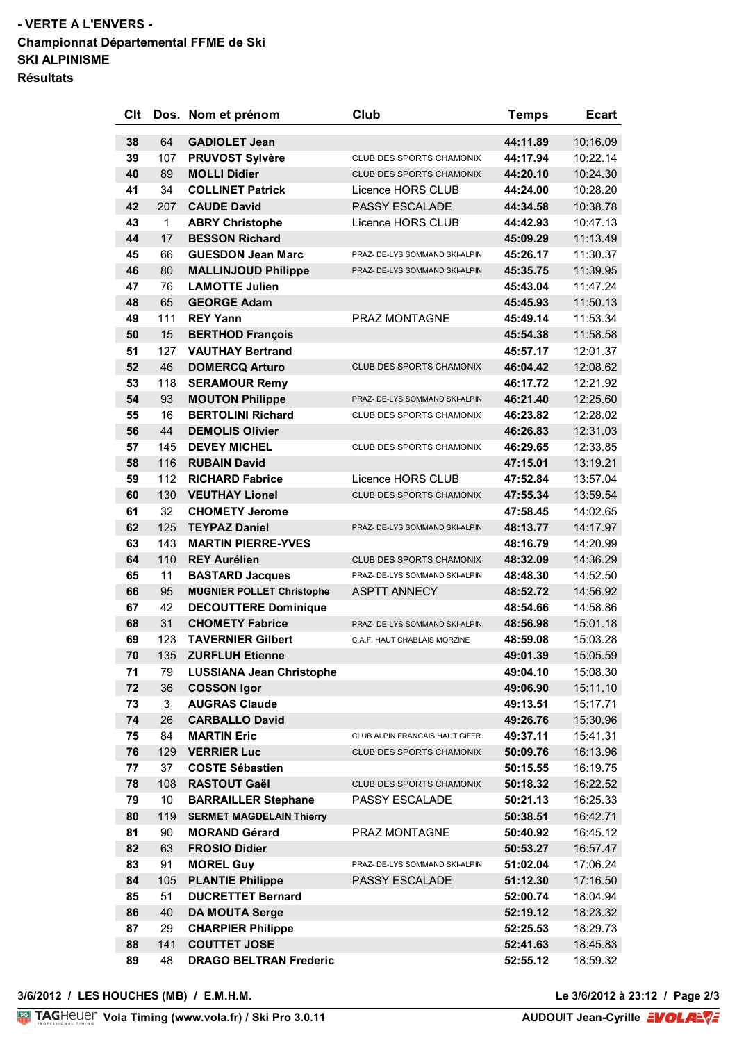## **- VERTE A L'ENVERS - Championnat Départemental FFME de Ski SKI ALPINISME Résultats**

| Clt      |          | Dos. Nom et prénom                                 | Club                            | <b>Temps</b>         | <b>Ecart</b>         |
|----------|----------|----------------------------------------------------|---------------------------------|----------------------|----------------------|
| 38       | 64       | <b>GADIOLET Jean</b>                               |                                 | 44:11.89             | 10:16.09             |
| 39       | 107      | <b>PRUVOST Sylvère</b>                             | CLUB DES SPORTS CHAMONIX        | 44:17.94             | 10:22.14             |
| 40       | 89       | <b>MOLLI Didier</b>                                | CLUB DES SPORTS CHAMONIX        | 44:20.10             | 10:24.30             |
| 41       | 34       | <b>COLLINET Patrick</b>                            | Licence HORS CLUB               | 44:24.00             | 10:28.20             |
| 42       | 207      | <b>CAUDE David</b>                                 | PASSY ESCALADE                  | 44:34.58             | 10:38.78             |
| 43       | 1        | <b>ABRY Christophe</b>                             | Licence HORS CLUB               | 44:42.93             | 10:47.13             |
| 44       | 17       | <b>BESSON Richard</b>                              |                                 | 45:09.29             | 11:13.49             |
| 45       | 66       | <b>GUESDON Jean Marc</b>                           | PRAZ- DE-LYS SOMMAND SKI-ALPIN  | 45:26.17             | 11:30.37             |
| 46       | 80       | <b>MALLINJOUD Philippe</b>                         | PRAZ- DE-LYS SOMMAND SKI-ALPIN  | 45:35.75             | 11:39.95             |
| 47       | 76       | <b>LAMOTTE Julien</b>                              |                                 | 45:43.04             | 11:47.24             |
| 48       | 65       | <b>GEORGE Adam</b>                                 |                                 | 45:45.93             | 11:50.13             |
| 49       | 111      | <b>REY Yann</b>                                    | PRAZ MONTAGNE                   | 45:49.14             | 11:53.34             |
| 50       | 15       | <b>BERTHOD François</b>                            |                                 | 45:54.38             | 11:58.58             |
| 51       | 127      | <b>VAUTHAY Bertrand</b>                            |                                 | 45:57.17             | 12:01.37             |
| 52       | 46       | <b>DOMERCQ Arturo</b>                              | CLUB DES SPORTS CHAMONIX        | 46:04.42             | 12:08.62             |
| 53       | 118      | <b>SERAMOUR Remy</b>                               |                                 | 46:17.72             | 12:21.92             |
|          |          |                                                    |                                 |                      |                      |
| 54<br>55 | 93<br>16 | <b>MOUTON Philippe</b><br><b>BERTOLINI Richard</b> | PRAZ- DE-LYS SOMMAND SKI-ALPIN  | 46:21.40<br>46:23.82 | 12:25.60<br>12:28.02 |
|          |          |                                                    | CLUB DES SPORTS CHAMONIX        |                      |                      |
| 56       | 44       | <b>DEMOLIS Olivier</b>                             |                                 | 46:26.83             | 12:31.03             |
| 57       | 145      | <b>DEVEY MICHEL</b>                                | CLUB DES SPORTS CHAMONIX        | 46:29.65             | 12:33.85             |
| 58       | 116      | <b>RUBAIN David</b>                                |                                 | 47:15.01             | 13:19.21             |
| 59       | 112      | <b>RICHARD Fabrice</b>                             | Licence HORS CLUB               | 47:52.84             | 13:57.04             |
| 60       | 130      | <b>VEUTHAY Lionel</b>                              | CLUB DES SPORTS CHAMONIX        | 47:55.34             | 13:59.54             |
| 61       | 32       | <b>CHOMETY Jerome</b>                              |                                 | 47:58.45             | 14:02.65             |
| 62       | 125      | <b>TEYPAZ Daniel</b>                               | PRAZ- DE-LYS SOMMAND SKI-ALPIN  | 48:13.77             | 14:17.97             |
| 63       | 143      | <b>MARTIN PIERRE-YVES</b>                          |                                 | 48:16.79             | 14:20.99             |
| 64       | 110      | <b>REY Aurélien</b>                                | CLUB DES SPORTS CHAMONIX        | 48:32.09             | 14:36.29             |
| 65       | 11       | <b>BASTARD Jacques</b>                             | PRAZ- DE-LYS SOMMAND SKI-ALPIN  | 48:48.30             | 14:52.50             |
| 66       | 95       | <b>MUGNIER POLLET Christophe</b>                   | <b>ASPTT ANNECY</b>             | 48:52.72             | 14:56.92             |
| 67       | 42       | <b>DECOUTTERE Dominique</b>                        |                                 | 48:54.66             | 14:58.86             |
| 68       | 31       | <b>CHOMETY Fabrice</b>                             | PRAZ- DE-LYS SOMMAND SKI-ALPIN  | 48:56.98             | 15:01.18             |
| 69       | 123      | <b>TAVERNIER Gilbert</b>                           | C.A.F. HAUT CHABLAIS MORZINE    | 48:59.08             | 15:03.28             |
| 70       | 135      | <b>ZURFLUH Etienne</b>                             |                                 | 49:01.39             | 15:05.59             |
| 71       | 79       | <b>LUSSIANA Jean Christophe</b>                    |                                 | 49:04.10             | 15:08.30             |
| 72       | 36       | <b>COSSON Igor</b>                                 |                                 | 49:06.90             | 15:11.10             |
| 73       | 3        | <b>AUGRAS Claude</b>                               |                                 | 49:13.51             | 15:17.71             |
| 74       | 26       | <b>CARBALLO David</b>                              |                                 | 49:26.76             | 15:30.96             |
| 75       | 84       | <b>MARTIN Eric</b>                                 | CLUB ALPIN FRANCAIS HAUT GIFFR  | 49:37.11             | 15:41.31             |
| 76       | 129      | <b>VERRIER Luc</b>                                 | <b>CLUB DES SPORTS CHAMONIX</b> | 50:09.76             | 16:13.96             |
| 77       | 37       | <b>COSTE Sébastien</b>                             |                                 | 50:15.55             | 16:19.75             |
| 78       | 108      | <b>RASTOUT Gaël</b>                                | <b>CLUB DES SPORTS CHAMONIX</b> | 50:18.32             | 16:22.52             |
| 79       | 10       | <b>BARRAILLER Stephane</b>                         | <b>PASSY ESCALADE</b>           | 50:21.13             | 16:25.33             |
| 80       | 119      | <b>SERMET MAGDELAIN Thierry</b>                    |                                 | 50:38.51             | 16:42.71             |
| 81       | 90       | <b>MORAND Gérard</b>                               | PRAZ MONTAGNE                   | 50:40.92             | 16:45.12             |
| 82       | 63       | <b>FROSIO Didier</b>                               |                                 | 50:53.27             | 16:57.47             |
| 83       | 91       | <b>MOREL Guy</b>                                   | PRAZ- DE-LYS SOMMAND SKI-ALPIN  | 51:02.04             | 17:06.24             |
| 84       | 105      | <b>PLANTIE Philippe</b>                            | <b>PASSY ESCALADE</b>           | 51:12.30             | 17:16.50             |
| 85       | 51       | <b>DUCRETTET Bernard</b>                           |                                 | 52:00.74             | 18:04.94             |
| 86       | 40       | <b>DA MOUTA Serge</b>                              |                                 | 52:19.12             | 18:23.32             |
| 87       | 29       | <b>CHARPIER Philippe</b>                           |                                 | 52:25.53             | 18:29.73             |
| 88       | 141      | <b>COUTTET JOSE</b>                                |                                 | 52:41.63             | 18:45.83             |
| 89       | 48       | <b>DRAGO BELTRAN Frederic</b>                      |                                 | 52:55.12             | 18:59.32             |
|          |          |                                                    |                                 |                      |                      |

**Vola Timing (www.vola.fr) / Ski Pro 3.0.11**